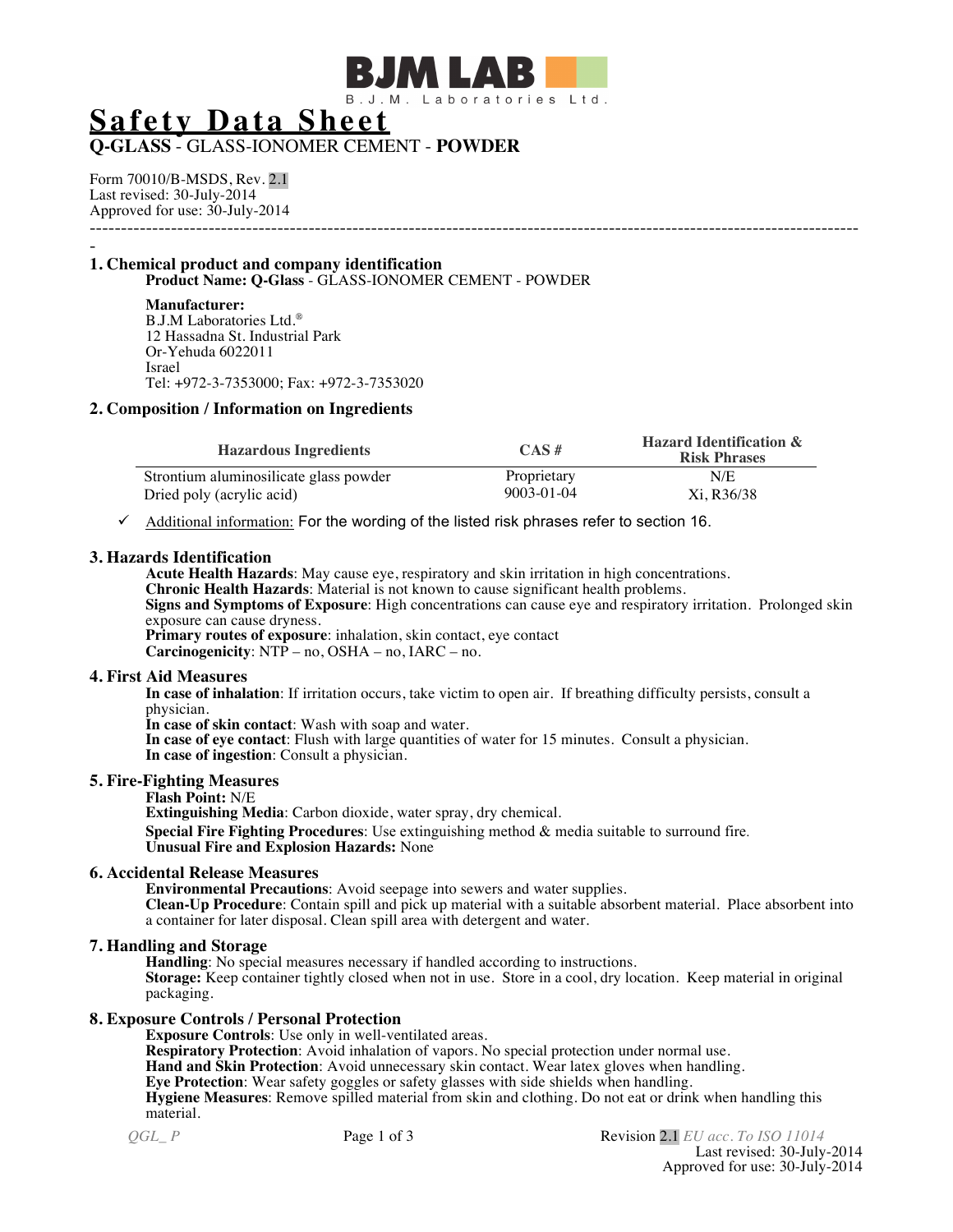

# **Safety Data Sheet**

# **Q-GLASS** - GLASS-IONOMER CEMENT - **POWDER**

Form 70010/B-MSDS, Rev. 2.1 Last revised: 30-July-2014 Approved for use: 30-July-2014 ---------------------------------------------------------------------------------------------------------------------------

#### - **1. Chemical product and company identification Product Name: Q-Glass** - GLASS-IONOMER CEMENT - POWDER

**Manufacturer:** B.J.M Laboratories Ltd.® 12 Hassadna St. Industrial Park Or-Yehuda 6022011 Israel Tel: +972-3-7353000; Fax: +972-3-7353020

## **2. Composition / Information on Ingredients**

| <b>Hazardous Ingredients</b>           | $CAS \#$         | <b>Hazard Identification &amp;</b><br><b>Risk Phrases</b> |
|----------------------------------------|------------------|-----------------------------------------------------------|
| Strontium aluminosilicate glass powder | Proprietary      | N/E                                                       |
| Dried poly (acrylic acid)              | $9003 - 01 - 04$ | Xi. R36/38                                                |

 $\checkmark$  Additional information: For the wording of the listed risk phrases refer to section 16.

## **3. Hazards Identification**

**Acute Health Hazards**: May cause eye, respiratory and skin irritation in high concentrations. **Chronic Health Hazards**: Material is not known to cause significant health problems. **Signs and Symptoms of Exposure**: High concentrations can cause eye and respiratory irritation. Prolonged skin exposure can cause dryness. **Primary routes of exposure**: inhalation, skin contact, eye contact **Carcinogenicity**:  $NTP - no$ ,  $OSHA - no$ ,  $IARC - no$ .

## **4. First Aid Measures**

**In case of inhalation**: If irritation occurs, take victim to open air. If breathing difficulty persists, consult a physician.

**In case of skin contact**: Wash with soap and water.

**In case of eye contact**: Flush with large quantities of water for 15 minutes. Consult a physician. **In case of ingestion**: Consult a physician.

## **5. Fire-Fighting Measures**

**Flash Point:** N/E **Extinguishing Media**: Carbon dioxide, water spray, dry chemical. **Special Fire Fighting Procedures**: Use extinguishing method & media suitable to surround fire. **Unusual Fire and Explosion Hazards:** None

## **6. Accidental Release Measures**

**Environmental Precautions**: Avoid seepage into sewers and water supplies. **Clean-Up Procedure**: Contain spill and pick up material with a suitable absorbent material. Place absorbent into a container for later disposal. Clean spill area with detergent and water.

## **7. Handling and Storage**

**Handling**: No special measures necessary if handled according to instructions. **Storage:** Keep container tightly closed when not in use. Store in a cool, dry location. Keep material in original packaging.

## **8. Exposure Controls / Personal Protection**

**Exposure Controls**: Use only in well-ventilated areas.

**Respiratory Protection**: Avoid inhalation of vapors. No special protection under normal use.

**Hand and Skin Protection**: Avoid unnecessary skin contact. Wear latex gloves when handling.

**Eye Protection**: Wear safety goggles or safety glasses with side shields when handling.

**Hygiene Measures**: Remove spilled material from skin and clothing. Do not eat or drink when handling this material.

*QGL\_ P* Page 1 of 3 Revision 2.1 *EU acc. To ISO 11014* Last revised: 30-July-2014 Approved for use: 30-July-2014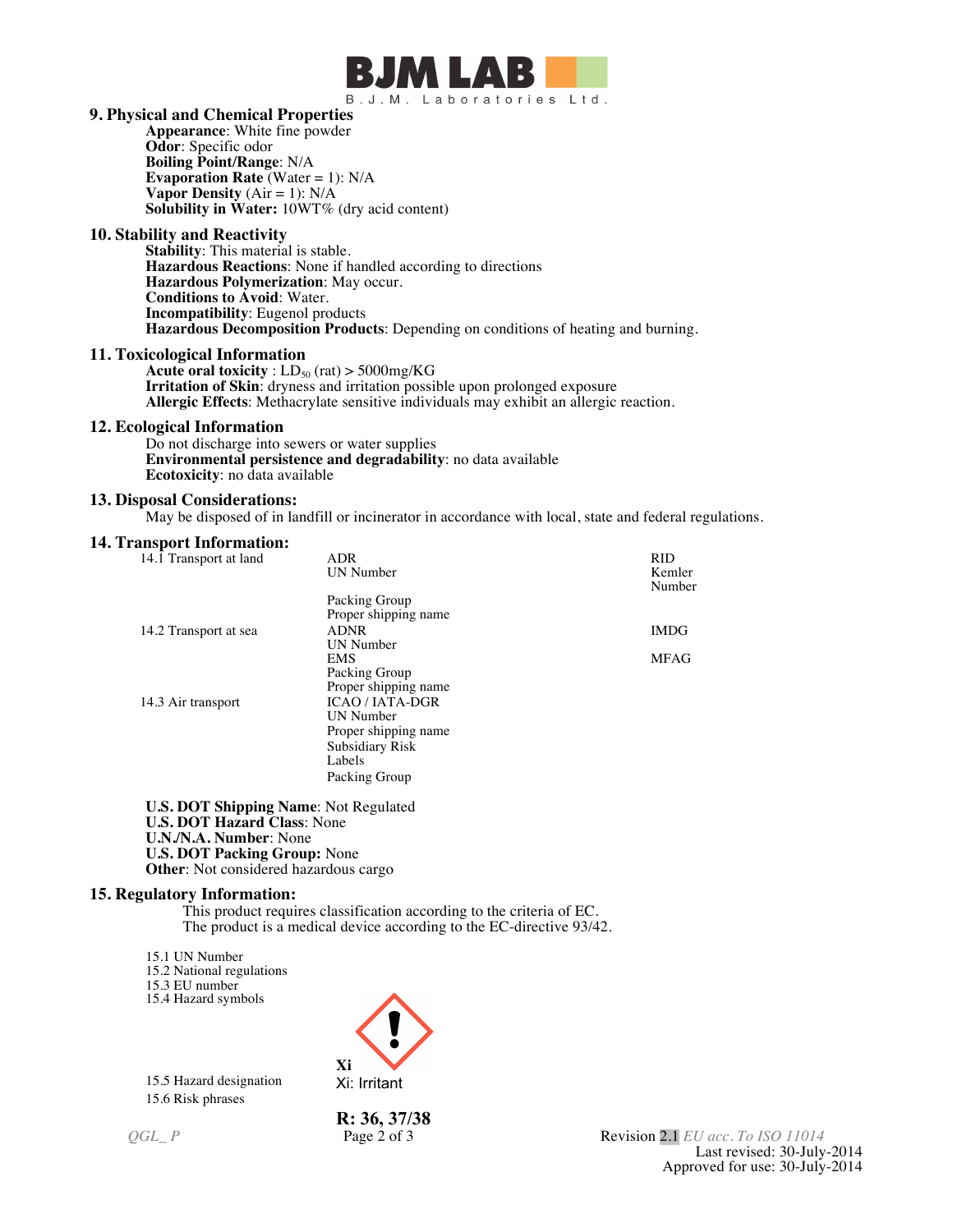

## **9. Physical and Chemical Properties**

**Appearance**: White fine powder **Odor**: Specific odor **Boiling Point/Range**: N/A **Evaporation Rate** (Water = 1): N/A **Vapor Density**  $(Air = 1)$ :  $N/A$ **Solubility in Water:** 10WT% (dry acid content)

## **10. Stability and Reactivity**

**Stability**: This material is stable. **Hazardous Reactions**: None if handled according to directions **Hazardous Polymerization**: May occur. **Conditions to Avoid**: Water. **Incompatibility**: Eugenol products **Hazardous Decomposition Products**: Depending on conditions of heating and burning.

#### **11. Toxicological Information**

**Acute oral toxicity** :  $LD_{50}$  (rat) > 5000mg/KG **Irritation of Skin**: dryness and irritation possible upon prolonged exposure **Allergic Effects**: Methacrylate sensitive individuals may exhibit an allergic reaction.

## **12. Ecological Information**

Do not discharge into sewers or water supplies **Environmental persistence and degradability**: no data available **Ecotoxicity**: no data available

#### **13. Disposal Considerations:**

May be disposed of in landfill or incinerator in accordance with local, state and federal regulations.

#### **14. Transport Information:**

| 14.1 Transport at land | ADR                  | RID              |
|------------------------|----------------------|------------------|
|                        | UN Number            | Kemler<br>Number |
|                        | Packing Group        |                  |
|                        | Proper shipping name |                  |
| 14.2 Transport at sea  | <b>ADNR</b>          | <b>IMDG</b>      |
|                        | UN Number            |                  |
|                        | <b>EMS</b>           | <b>MFAG</b>      |
|                        | Packing Group        |                  |
|                        | Proper shipping name |                  |
| 14.3 Air transport     | <b>ICAO/IATA-DGR</b> |                  |
|                        | UN Number            |                  |
|                        | Proper shipping name |                  |
|                        | Subsidiary Risk      |                  |
|                        | Labels               |                  |
|                        |                      |                  |
|                        | Packing Group        |                  |
|                        |                      |                  |

**U.S. DOT Shipping Name**: Not Regulated **U.S. DOT Hazard Class**: None **U.N./N.A. Number**: None **U.S. DOT Packing Group:** None **Other**: Not considered hazardous cargo

#### **15. Regulatory Information:**

This product requires classification according to the criteria of EC. The product is a medical device according to the EC-directive 93/42.

15.1 UN Number 15.2 National regulations 15.3 EU number

15.4 Hazard symbols

15.5 Hazard designation Xi: Irritant 15.6 Risk phrases



**R: 36, 37/38**

*QGL\_ P* Page 2 of 3 Revision 2.1 *EU acc. To ISO 11014* Last revised: 30-July-2014 Approved for use: 30-July-2014